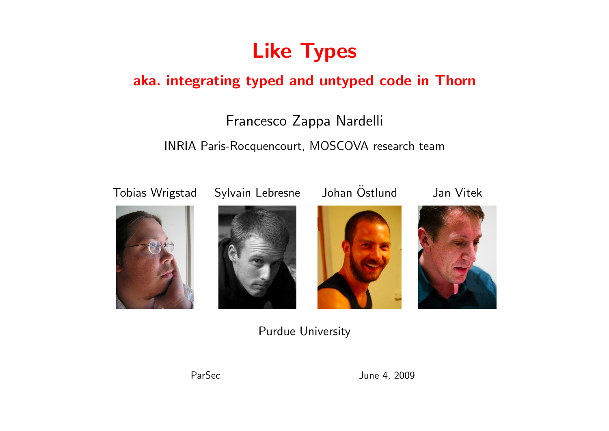

#### aka. integrating typed and untyped code in Thorn

#### Francesco Zappa Nardelli

#### INRIA Paris-Rocquencourt, MOSCOVA research team











Purdue University



ParSec June 4, 2009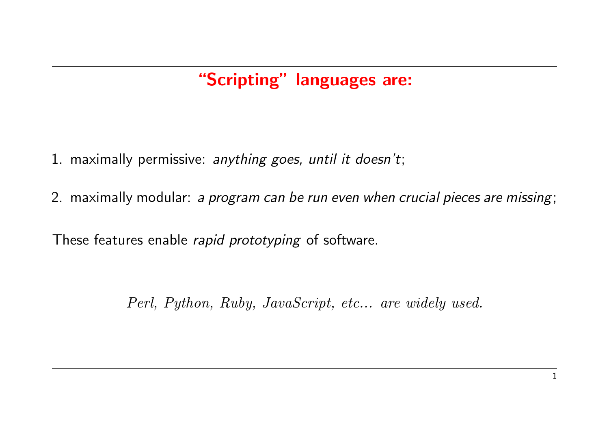# "Scripting" languages are:

- 1. maximally permissive: anything goes, until it doesn't;
- 2. maximally modular: a program can be run even when crucial pieces are missing;

These features enable rapid prototyping of software.

Perl, Python, Ruby, JavaScript, etc... are widely used.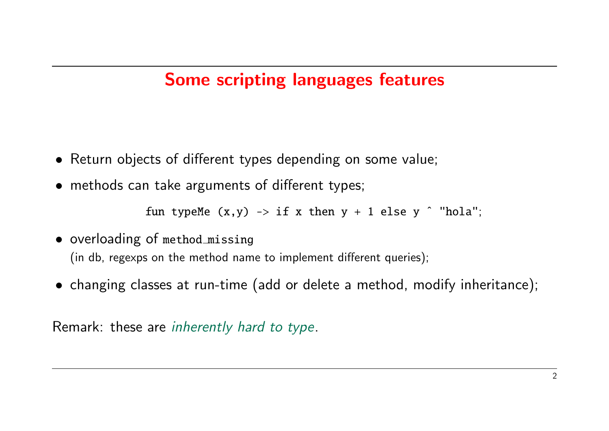## Some scripting languages features

- Return objects of different types depending on some value;
- methods can take arguments of different types;

fun typeMe  $(x,y) \rightarrow if x$  then  $y + 1$  else  $y \hat{ }$  "hola";

- overloading of method missing (in db, regexps on the method name to implement different queries);
- changing classes at run-time (add or delete a method, modify inheritance);

Remark: these are inherently hard to type.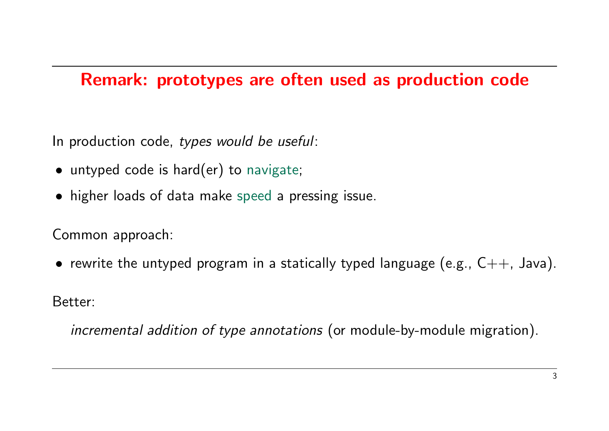## Remark: prototypes are often used as production code

In production code, types would be useful:

- untyped code is hard(er) to navigate;
- higher loads of data make speed a pressing issue.

Common approach:

• rewrite the untyped program in a statically typed language (e.g.,  $C++$ , Java).

Better:

incremental addition of type annotations (or module-by-module migration).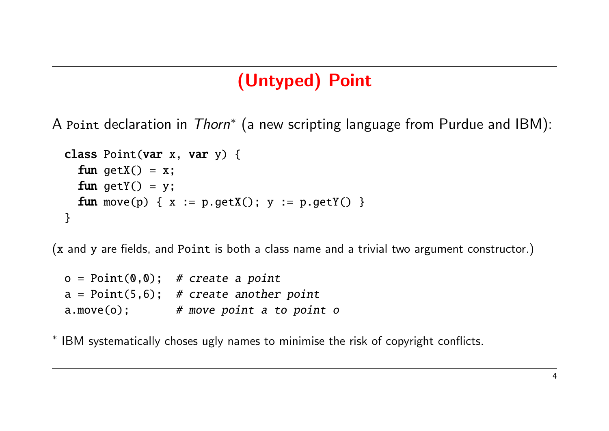# (Untyped) Point

A Point declaration in Thorn\* (a new scripting language from Purdue and IBM):

```
class Point(var x, var y) {
  fun getX() = x;
  fun getY() = y;
  fun move(p) { x := p.getX(); y := p.getY() }
}
```
(x and y are fields, and Point is both a class name and a trivial two argument constructor.)

|               | $o = Point(0, 0);$ # create a point       |
|---------------|-------------------------------------------|
|               | $a = Point(5, 6);$ # create another point |
| $a.move(o)$ ; | # move point a to point o                 |

∗ IBM systematically choses ugly names to minimise the risk of copyright conflicts.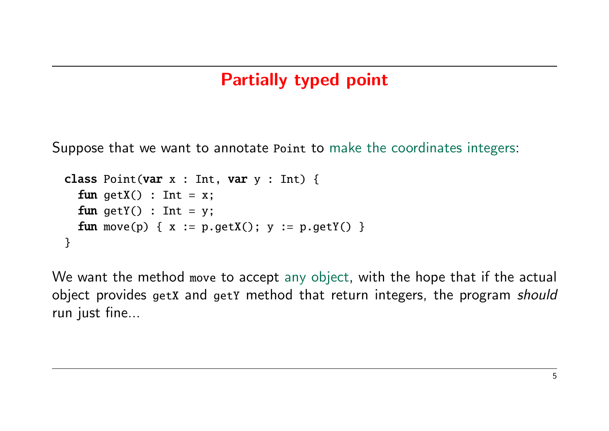## Partially typed point

Suppose that we want to annotate Point to make the coordinates integers:

```
class Point(var x : Int, var y : Int) {
  fun qetX() : Int = x;
  fun getY() : Int = y;
  fun move(p) { x := p.getX(); y := p.getY() }
}
```
We want the method move to accept any object, with the hope that if the actual object provides getX and getY method that return integers, the program should run just fine...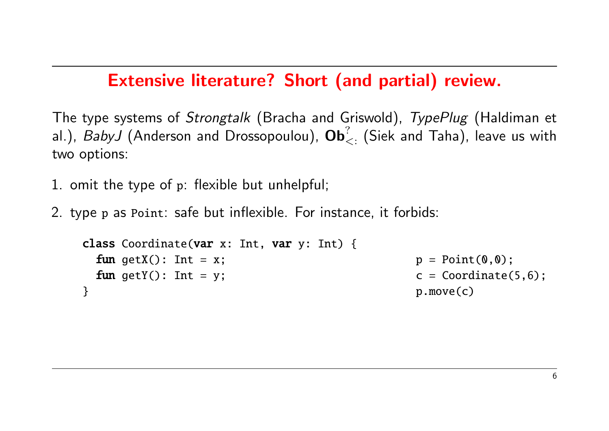### Extensive literature? Short (and partial) review.

The type systems of *Strongtalk* (Bracha and Griswold), TypePlug (Haldiman et al.),  $Bab$ yJ (Anderson and Drossopoulou),  $\mathbf{Ob}^?_{<:}$  (Siek and Taha), leave us with two options:

- 1. omit the type of p: flexible but unhelpful;
- 2. type p as Point: safe but inflexible. For instance, it forbids:

```
class Coordinate(var x: Int, var y: Int) {
 fun getX(): Int = x; p = Point(0,0);fun getY(): Int = y; \qquad \qquad c = Coordinate(5,6);
} p.move(c)
```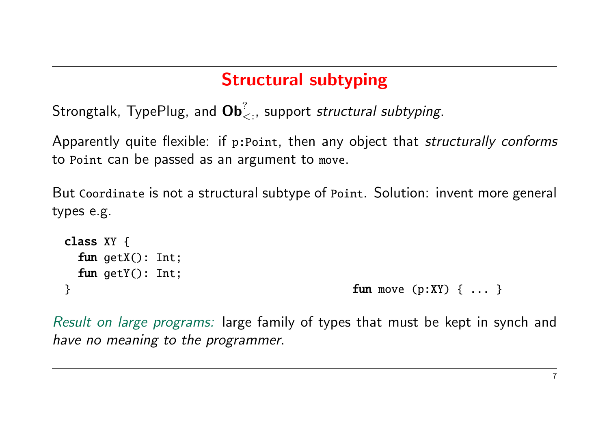## Structural subtyping

Strongtalk, TypePlug, and  $\mathbf{Ob}^?_{<:},$  support *structural subtyping*.

Apparently quite flexible: if p: Point, then any object that *structurally conforms* to Point can be passed as an argument to move.

But Coordinate is not a structural subtype of Point. Solution: invent more general types e.g.

```
class XY {
 fun getX(): Int;
 fun qetY(): Int;
} fun move (p:XY) \{ ... \}
```
Result on large programs: large family of types that must be kept in synch and have no meaning to the programmer.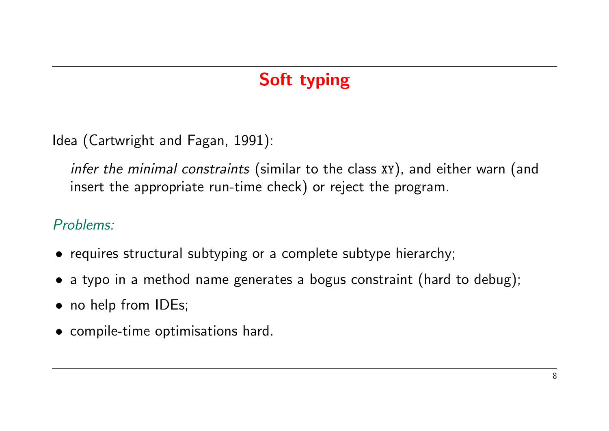# Soft typing

Idea (Cartwright and Fagan, 1991):

infer the minimal constraints (similar to the class XY), and either warn (and insert the appropriate run-time check) or reject the program.

#### Problems:

- requires structural subtyping or a complete subtype hierarchy;
- a typo in a method name generates a bogus constraint (hard to debug);
- no help from IDEs;
- compile-time optimisations hard.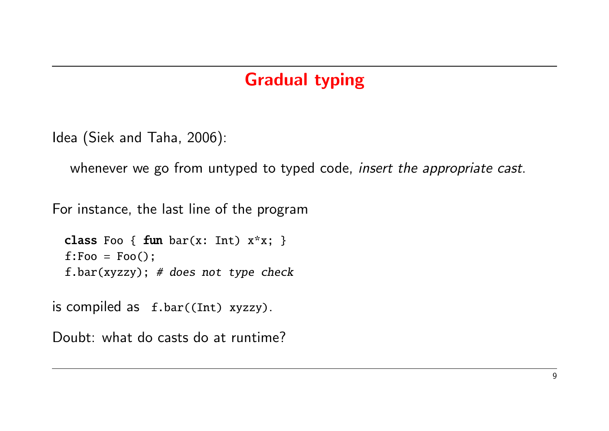## Gradual typing

```
Idea (Siek and Taha, 2006):
```

```
whenever we go from untyped to typed code, insert the appropriate cast.
```
For instance, the last line of the program

```
class Foo { fun bar(x: Int) x*x; }
f:Foo = Foo();
f.bar(xyzzy); # does not type check
```
is compiled as f.bar((Int) xyzzy).

Doubt: what do casts do at runtime?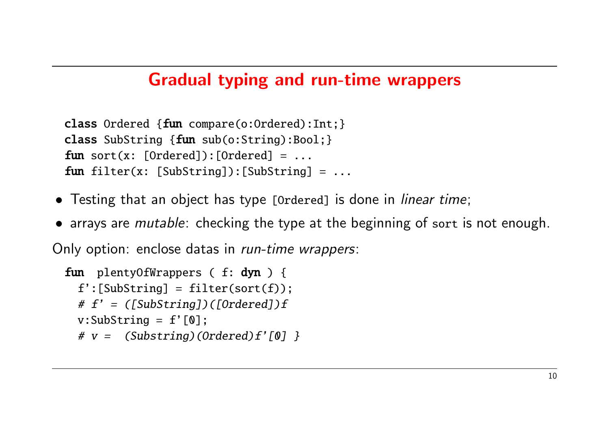### Gradual typing and run-time wrappers

```
class Ordered {fun compare(o:Ordered):Int;}
class SubString {fun sub(o:String):Bool;}
fun sort(x: [Ordered]):[Ordered] = ...fun filter(x: [SubString]): [SubString] = ...
```
- Testing that an object has type [Ordered] is done in *linear time*;
- arrays are *mutable*: checking the type at the beginning of sort is not enough.

Only option: enclose datas in run-time wrappers:

```
fun plentyOfWrappers ( f: dyn ) {
 f':[SubString] = filter(sort(f));
 # f' = ([SubString]) ([Ordered])fv:SubString = f'[0];
 # v = (Substring)(Ordered)f'[0] }
```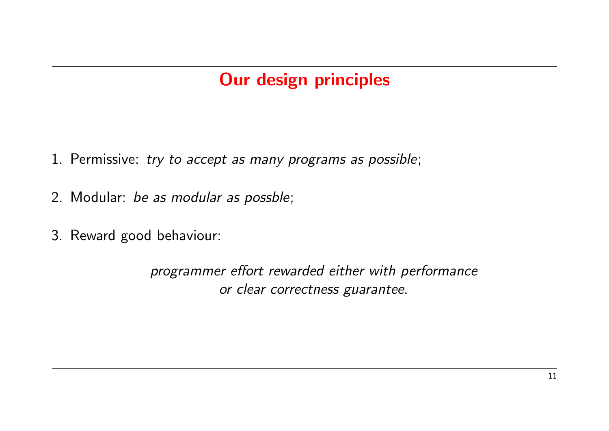# Our design principles

- 1. Permissive: try to accept as many programs as possible;
- 2. Modular: be as modular as possble;
- 3. Reward good behaviour:

programmer effort rewarded either with performance or clear correctness guarantee.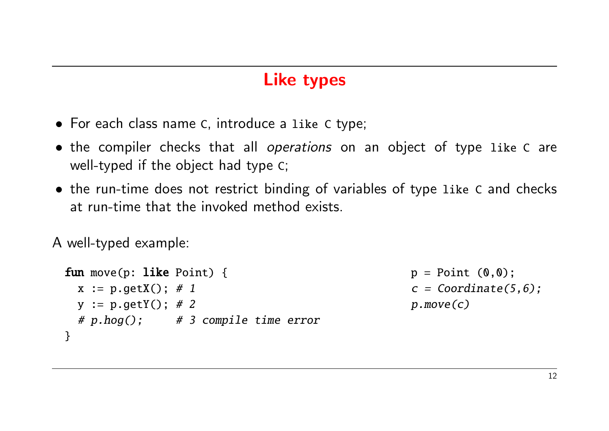### Like types

- For each class name C, introduce a like C type;
- the compiler checks that all *operations* on an object of type like C are well-typed if the object had type C;
- the run-time does not restrict binding of variables of type like C and checks at run-time that the invoked method exists.

A well-typed example:

```
fun move(p: like Point) { p = Point (0,0);x := p.getX(); # 1 c = Coordinate(5,6);
 y := p.getY(); # 2 p.move(c)
 # p.hog(); # 3 compile time error}
```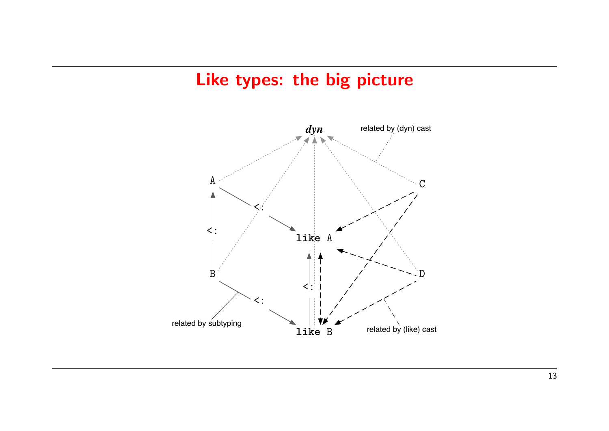### Like types: the big picture

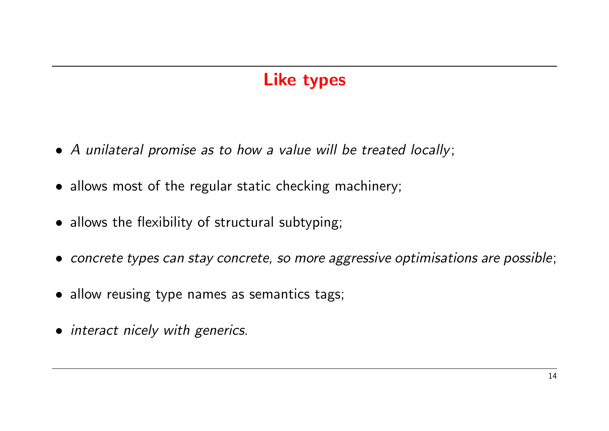## Like types

- A unilateral promise as to how a value will be treated locally;
- allows most of the regular static checking machinery;
- allows the flexibility of structural subtyping;
- concrete types can stay concrete, so more aggressive optimisations are possible;
- allow reusing type names as semantics tags;
- interact nicely with generics.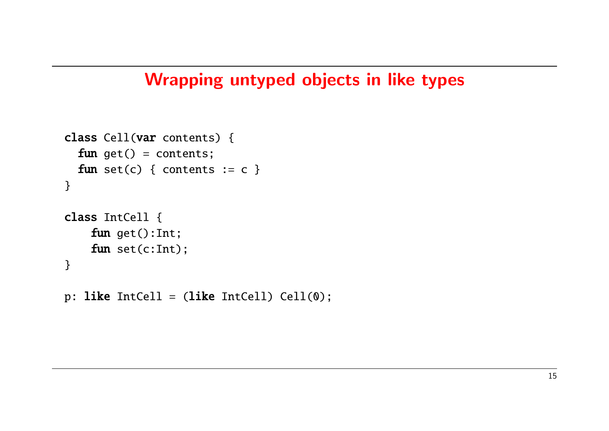### Wrapping untyped objects in like types

```
class Cell(var contents) {
  fun get() = contents;fun set(c) { contents := c }
}
class IntCell {
    fun get():Int;
    fun set(c:Int);
}
```
p: like IntCell =  $(like IntCell)$  Cell $(0)$ ;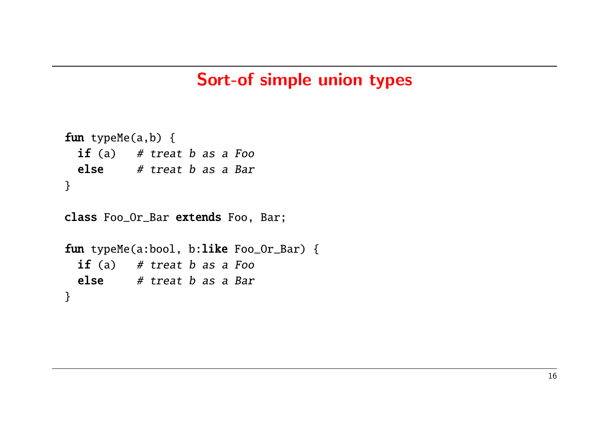#### Sort-of simple union types

```
fun typeMe(a,b) {
 if (a) # treat b as a Foo
 else # treat b as a Bar
}
```
class Foo\_Or\_Bar extends Foo, Bar;

```
fun typeMe(a:bool, b:like Foo_Or_Bar) {
 if (a) # treat b as a Foo
 else # treat b as a Bar
}
```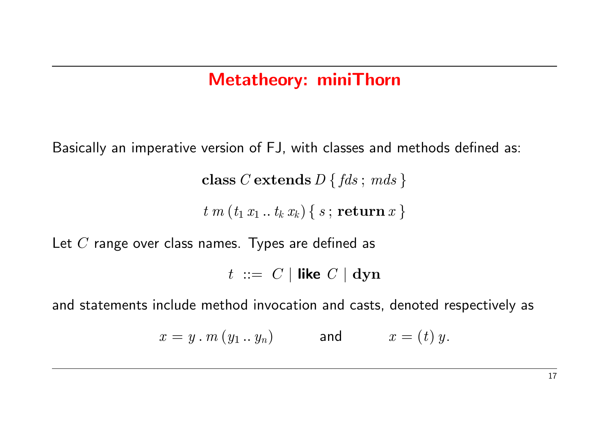## Metatheory: miniThorn

Basically an imperative version of FJ, with classes and methods defined as:

class C extends  $D \{ f ds; m ds \}$ 

 $t m (t_1 x_1 ... t_k x_k) \{ s ; \textbf{return } x \}$ 

Let  $C$  range over class names. Types are defined as

 $t := C |$  like  $C |$  dyn

and statements include method invocation and casts, denoted respectively as

$$
x = y \cdot m \left( y_1 \ldots y_n \right) \qquad \text{and} \qquad x = \left( t \right) y.
$$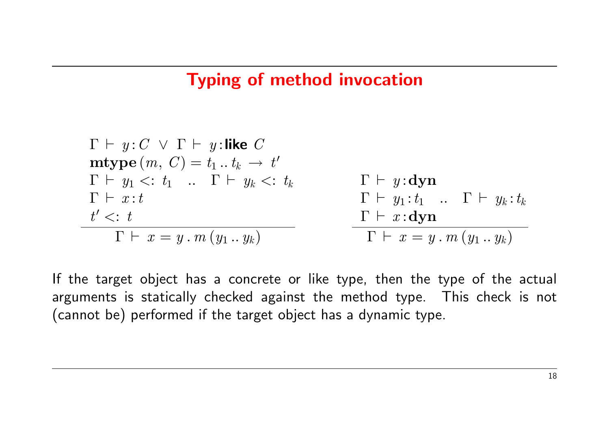### Typing of method invocation

$$
\Gamma \vdash y : C \lor \Gamma \vdash y : \textbf{like } C
$$
\n
$$
\textbf{mtype } (m, C) = t_1 \dots t_k \to t'
$$
\n
$$
\Gamma \vdash y_1 <: t_1 \quad \dots \quad \Gamma \vdash y_k <: t_k
$$
\n
$$
\Gamma \vdash x : t \qquad \qquad \Gamma \vdash y_1 : t_1 \quad \dots \quad \Gamma \vdash y_k : t_k
$$
\n
$$
t' <: t \qquad \qquad \Gamma \vdash x : \textbf{dyn}
$$
\n
$$
\Gamma \vdash x = y \dots m \left( y_1 \dots y_k \right)
$$
\n
$$
\Gamma \vdash x = y \dots m \left( y_1 \dots y_k \right)
$$

If the target object has a concrete or like type, then the type of the actual arguments is statically checked against the method type. This check is not (cannot be) performed if the target object has a dynamic type.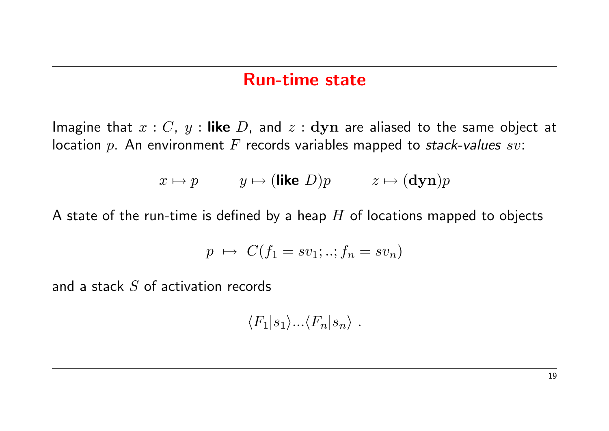#### Run-time state

Imagine that  $x : C$ ,  $y :$  like  $D$ , and  $z :$  dyn are aliased to the same object at location p. An environment F records variables mapped to stack-values sv:

$$
x \mapsto p
$$
  $y \mapsto (\text{like } D)p$   $z \mapsto (\text{dyn})p$ 

A state of the run-time is defined by a heap  $H$  of locations mapped to objects

$$
p \mapsto C(f_1 = sv_1; ..; f_n = sv_n)
$$

and a stack S of activation records

 $\langle F_1|s_1\rangle...\langle F_n|s_n\rangle$ .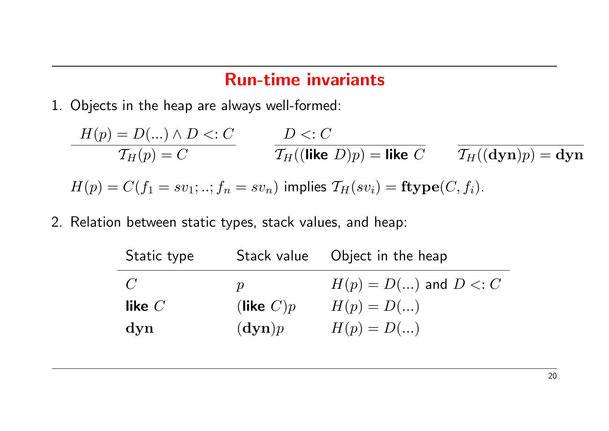### Run-time invariants

1. Objects in the heap are always well-formed:

$$
H(p) = D(...) \land D <: C
$$
\n
$$
T_H(p) = C
$$
\n
$$
T_H((\text{like } D)p) = \text{like } C
$$
\n
$$
T_H((\text{dyn})p) = \text{dyn}
$$
\n
$$
H(p) = C(f_1 = sv_1; ..; f_n = sv_n) \text{ implies } T_H(sv_i) = \text{ftype}(C, f_i).
$$

2. Relation between static types, stack values, and heap:

| Static type    |               | Stack value Object in the heap |
|----------------|---------------|--------------------------------|
| $\overline{C}$ | $\mathcal{D}$ | $H(p) = D()$ and $D \lt: C$    |
| like $C$       | (like $C)p$   | $H(p) = D()$                   |
| $\bf dyn$      | $(\bf{dyn})p$ | $H(p) = D()$                   |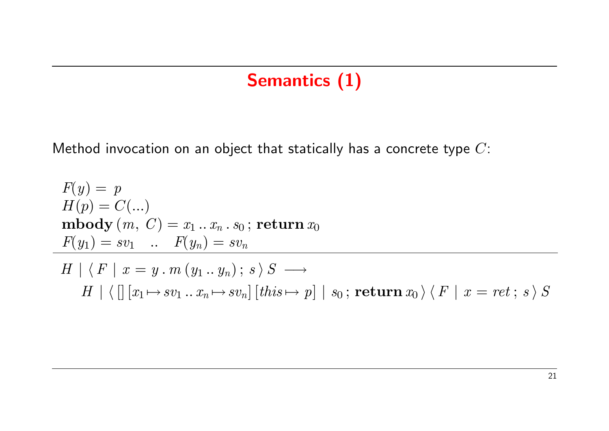# Semantics (1)

Method invocation on an object that statically has a concrete type  $C$ :

$$
F(y) = p
$$
  
\n
$$
H(p) = C(...)
$$
  
\n**nbody**  $(m, C) = x_1 ... x_n . s_0$ ; **return**  $x_0$   
\n
$$
F(y_1) = sv_1 ... F(y_n) = sv_n
$$
  
\n
$$
H | \langle F | x = y . m (y_1 ... y_n) ; s \rangle S \longrightarrow
$$
  
\n
$$
H | \langle [[x_1 \mapsto sv_1 ... x_n \mapsto sv_n] [this \mapsto p] | s_0 ; return  $x_0 \rangle \langle F | x = ret ; s \rangle S$
$$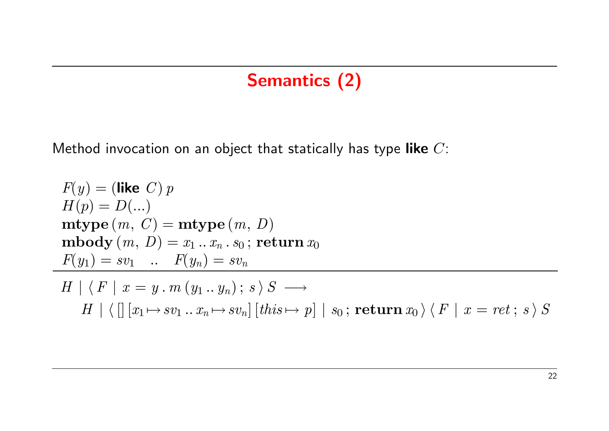# Semantics (2)

Method invocation on an object that statically has type like  $C$ :

 $\overline{\phantom{0}}$ 

$$
F(y) = (\text{like } C) p
$$
  
\n
$$
H(p) = D(...)
$$
  
\n**mype**  $(m, C) = \text{mtype}(m, D)$   
\n**mbody**  $(m, D) = x_1 ... x_n . s_0$ ; **return**  $x_0$   
\n
$$
F(y_1) = sv_1 ... F(y_n) = sv_n
$$
  
\n
$$
H | \langle F | x = y . m (y_1 ... y_n) ; s \rangle S \longrightarrow
$$
  
\n
$$
H | \langle [x_1 \mapsto sv_1 ... x_n \mapsto sv_n] [this \mapsto p] | s_0 ; \text{return } x_0 \rangle \langle F | x = ret ; s \rangle S
$$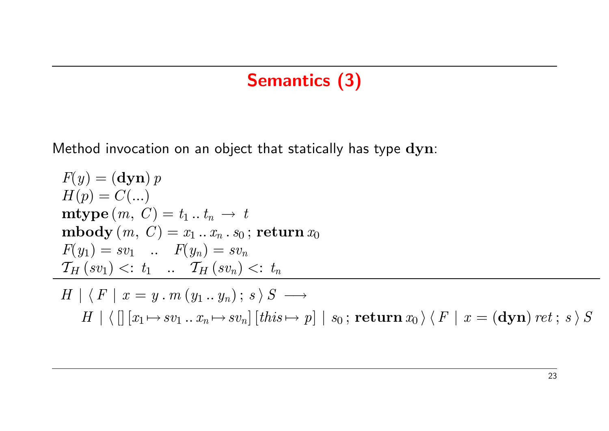## Semantics (3)

Method invocation on an object that statically has type dyn:

$$
F(y) = (\text{dyn}) p
$$
  
\n
$$
H(p) = C(...)
$$
  
\n**mype**  $(m, C) = t_1 ... t_n \rightarrow t$   
\n**mbody**  $(m, C) = x_1 ... x_n . s_0$ ; **return**  $x_0$   
\n
$$
F(y_1) = sv_1 ... F(y_n) = sv_n
$$
  
\n
$$
\frac{T_H(sv_1) <: t_1 ... T_H(sv_n) <: t_n}{T_H(sv_1) <: t_1 ... T_H(sv_n) ; s \rangle S} \rightarrow
$$
  
\n
$$
H \mid \langle \left[ \left[ x_1 \mapsto sv_1 ... x_n \mapsto sv_n \right] \left[ this \mapsto p \right] \mid s_0 \right; \text{return } x_0 \rangle \langle F \mid x = (\text{dyn}) \text{ ret}; s \rangle S
$$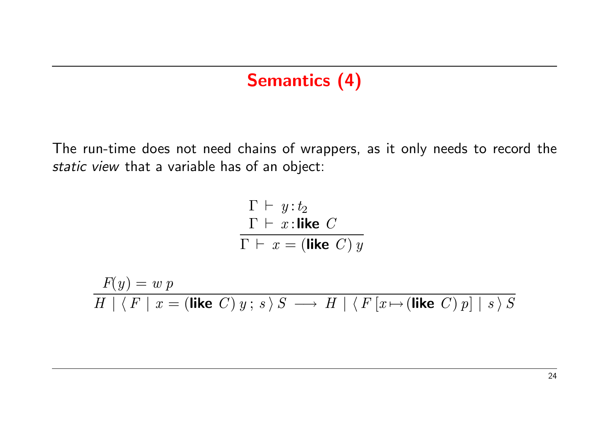### Semantics (4)

The run-time does not need chains of wrappers, as it only needs to record the static view that a variable has of an object:

$$
\begin{array}{c}\n\Gamma \vdash y : t_2 \\
\Gamma \vdash x : \text{like } C \\
\hline\n\Gamma \vdash x = (\text{like } C) y\n\end{array}
$$

$$
\frac{F(y) = w p}{H | \langle F | x = (\text{like } C) y; s \rangle S \longrightarrow H | \langle F [x \mapsto (\text{like } C) p] | s \rangle S}
$$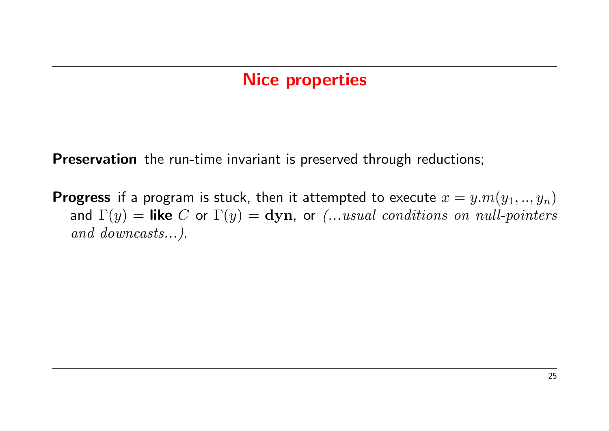### Nice properties

Preservation the run-time invariant is preserved through reductions;

**Progress** if a program is stuck, then it attempted to execute  $x = y.m(y_1,..,y_n)$ and  $\Gamma(y)$  = like C or  $\Gamma(y)$  = dyn, or (...usual conditions on null-pointers and downcasts...).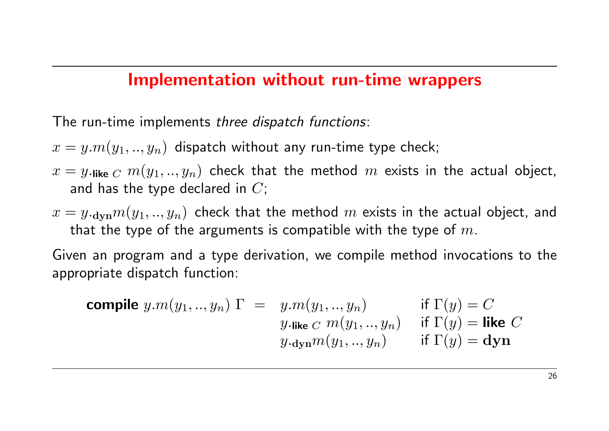#### Implementation without run-time wrappers

The run-time implements three dispatch functions:

- $x = y.m(y_1, ..., y_n)$  dispatch without any run-time type check;
- $x = y$ . like  $C$   $m(y_1, ..., y_n)$  check that the method m exists in the actual object, and has the type declared in  $C$ ;
- $x = y_{\text{cdyn}} m(y_1, ..., y_n)$  check that the method m exists in the actual object, and that the type of the arguments is compatible with the type of  $m$ .

Given an program and a type derivation, we compile method invocations to the appropriate dispatch function:

**compile** 
$$
y.m(y_1,..,y_n)
$$
  $\Gamma = y.m(y_1,..,y_n)$  if  $\Gamma(y) = C$   
\n $y.\text{like } C \ m(y_1,..,y_n)$  if  $\Gamma(y) = \text{like } C$   
\n $y.\text{dyn}m(y_1,..,y_n)$  if  $\Gamma(y) = \text{dyn}$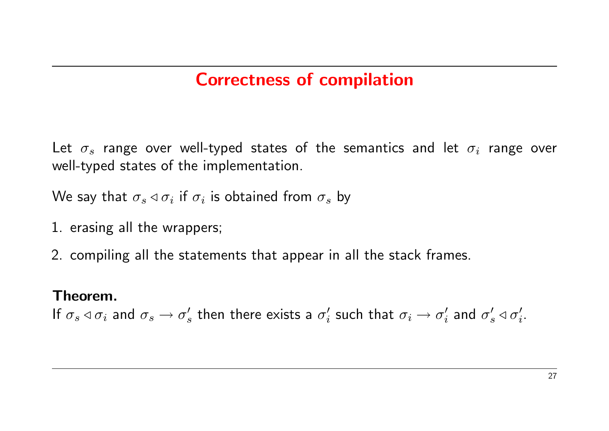## Correctness of compilation

Let  $\sigma_s$  range over well-typed states of the semantics and let  $\sigma_i$  range over well-typed states of the implementation.

We say that  $\sigma_s \triangleleft \sigma_i$  if  $\sigma_i$  is obtained from  $\sigma_s$  by

- 1. erasing all the wrappers;
- 2. compiling all the statements that appear in all the stack frames.

#### Theorem.

If  $\sigma_s \triangleleft \sigma_i$  and  $\sigma_s \rightarrow \sigma_s'$  $_s'$  then there exists a  $\sigma_i'$  $\sigma'_i$  such that  $\sigma_i \rightarrow \sigma'_i$  $\sigma'_i$  and  $\sigma'_s \triangleleft \sigma'_i$ .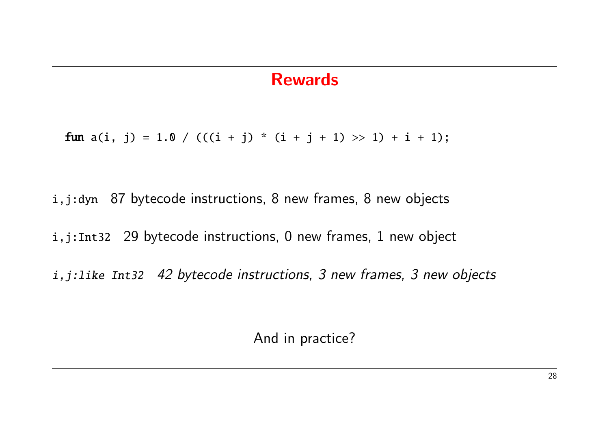#### Rewards

fun  $a(i, j) = 1.0 / ((i + j) * (i + j + 1) >> 1) + i + 1);$ 

i,j:dyn 87 bytecode instructions, 8 new frames, 8 new objects

i,j:Int32 29 bytecode instructions, 0 new frames, 1 new object

i,j:like Int32 42 bytecode instructions, 3 new frames, 3 new objects

And in practice?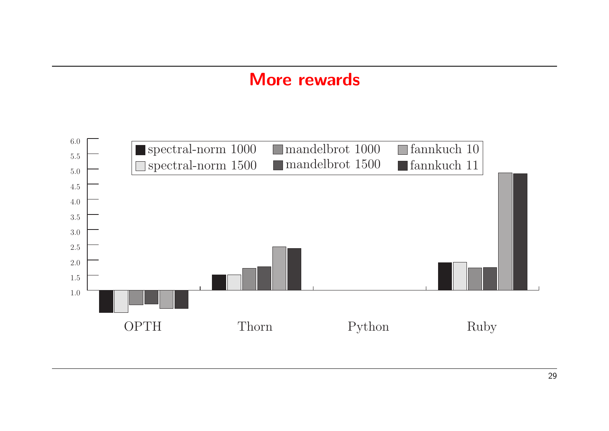#### More rewards

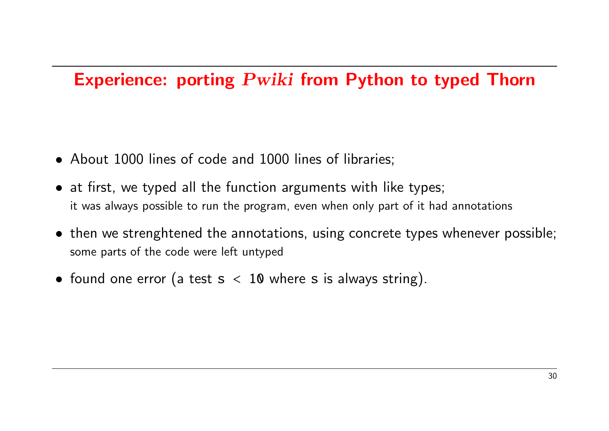### Experience: porting Pwiki from Python to typed Thorn

- About 1000 lines of code and 1000 lines of libraries;
- at first, we typed all the function arguments with like types; it was always possible to run the program, even when only part of it had annotations
- then we strenghtened the annotations, using concrete types whenever possible; some parts of the code were left untyped
- found one error (a test  $s < 10$  where s is always string).